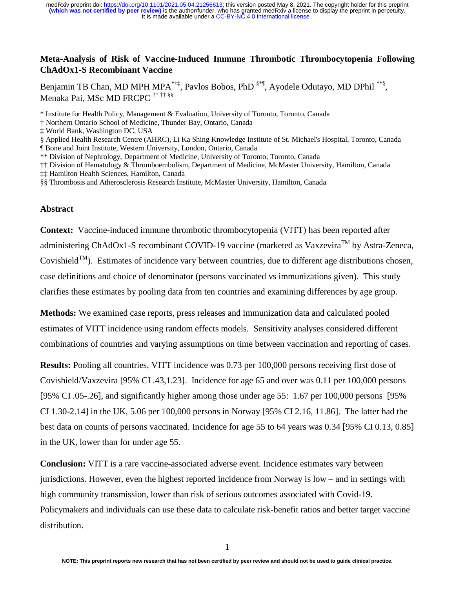# **Meta-Analysis of Risk of Vaccine-Induced Immune Thrombotic Thrombocytopenia Following ChAdOx1-S Recombinant Vaccine**

Benjamin TB Chan, MD MPH MPA<sup> $*†$ ‡</sup>, Pavlos Bobos, PhD  $*$ <sup>\*</sup>, Ayodele Odutayo, MD DPhil  $**$ §, Menaka Pai, MSc MD FRCPC †† ‡‡ §§

\* Institute for Health Policy, Management & Evaluation, University of Toronto, Toronto, Canada

† Northern Ontario School of Medicine, Thunder Bay, Ontario, Canada

‡ World Bank, Washington DC, USA

§ Applied Health Research Centre (AHRC), Li Ka Shing Knowledge Institute of St. Michael's Hospital, Toronto, Canada

¶ Bone and Joint Institute, Western University, London, Ontario, Canada

\*\* Division of Nephrology, Department of Medicine, University of Toronto; Toronto, Canada

†† Division of Hematology & Thromboembolism, Department of Medicine, McMaster University, Hamilton, Canada

‡‡ Hamilton Health Sciences, Hamilton, Canada

§§ Thrombosis and Atherosclerosis Research Institute, McMaster University, Hamilton, Canada

#### **Abstract**

**Context:** Vaccine-induced immune thrombotic thrombocytopenia (VITT) has been reported after administering ChAdOx1-S recombinant COVID-19 vaccine (marketed as Vaxzevira<sup>TM</sup> by Astra-Zeneca, Covishield<sup>TM</sup>). Estimates of incidence vary between countries, due to different age distributions chosen, case definitions and choice of denominator (persons vaccinated vs immunizations given). This study clarifies these estimates by pooling data from ten countries and examining differences by age group.

**Methods:** We examined case reports, press releases and immunization data and calculated pooled estimates of VITT incidence using random effects models. Sensitivity analyses considered different combinations of countries and varying assumptions on time between vaccination and reporting of cases.

**Results:** Pooling all countries, VITT incidence was 0.73 per 100,000 persons receiving first dose of Covishield/Vaxzevira [95% CI .43,1.23]. Incidence for age 65 and over was 0.11 per 100,000 persons [95% CI .05-.26], and significantly higher among those under age 55: 1.67 per 100,000 persons [95% CI 1.30-2.14] in the UK, 5.06 per 100,000 persons in Norway [95% CI 2.16, 11.86]. The latter had the best data on counts of persons vaccinated. Incidence for age 55 to 64 years was 0.34 [95% CI 0.13, 0.85] in the UK, lower than for under age 55.

**Conclusion:** VITT is a rare vaccine-associated adverse event. Incidence estimates vary between jurisdictions. However, even the highest reported incidence from Norway is low – and in settings with high community transmission, lower than risk of serious outcomes associated with Covid-19. Policymakers and individuals can use these data to calculate risk-benefit ratios and better target vaccine distribution.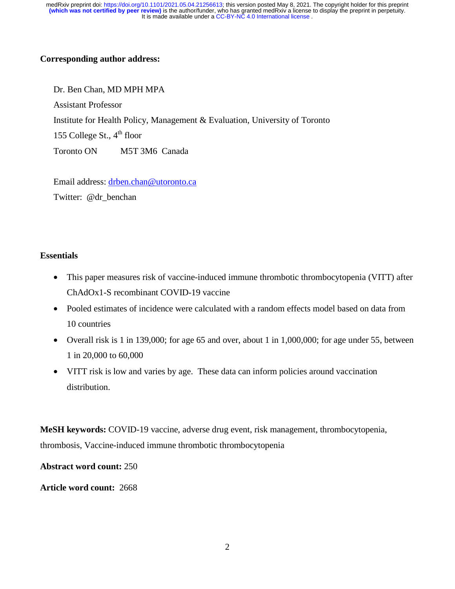# **Corresponding author address:**

Dr. Ben Chan, MD MPH MPA Assistant Professor Institute for Health Policy, Management & Evaluation, University of Toronto 155 College St.,  $4^{\text{th}}$  floor Toronto ON M5T 3M6 Canada

Email address: drben.chan@utoronto.ca

Twitter: @dr\_benchan

# **Essentials**

- This paper measures risk of vaccine-induced immune thrombotic thrombocytopenia (VITT) after ChAdOx1-S recombinant COVID-19 vaccine
- Pooled estimates of incidence were calculated with a random effects model based on data from 10 countries
- Overall risk is 1 in 139,000; for age 65 and over, about 1 in 1,000,000; for age under 55, between 1 in 20,000 to 60,000
- VITT risk is low and varies by age. These data can inform policies around vaccination distribution.

**MeSH keywords:** COVID-19 vaccine, adverse drug event, risk management, thrombocytopenia, thrombosis, Vaccine-induced immune thrombotic thrombocytopenia

**Abstract word count:** 250

**Article word count:** 2668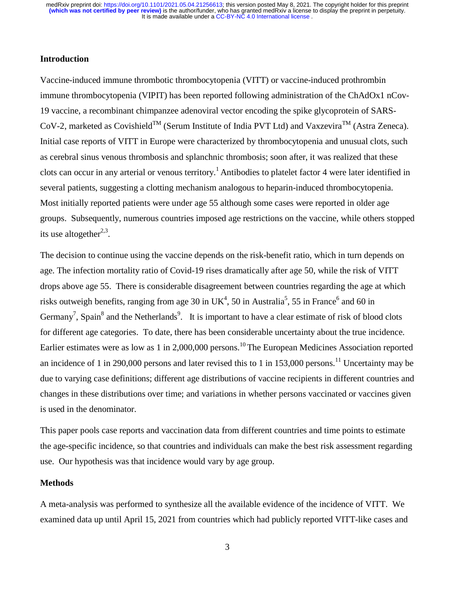### **Introduction**

Vaccine-induced immune thrombotic thrombocytopenia (VITT) or vaccine-induced prothrombin immune thrombocytopenia (VIPIT) has been reported following administration of the ChAdOx1 nCov-19 vaccine, a recombinant chimpanzee adenoviral vector encoding the spike glycoprotein of SARS- $CoV-2$ , marketed as Covishield<sup>TM</sup> (Serum Institute of India PVT Ltd) and Vaxzevira<sup>TM</sup> (Astra Zeneca). Initial case reports of VITT in Europe were characterized by thrombocytopenia and unusual clots, such as cerebral sinus venous thrombosis and splanchnic thrombosis; soon after, it was realized that these clots can occur in any arterial or venous territory.<sup>1</sup> Antibodies to platelet factor 4 were later identified in several patients, suggesting a clotting mechanism analogous to heparin-induced thrombocytopenia. Most initially reported patients were under age 55 although some cases were reported in older age groups. Subsequently, numerous countries imposed age restrictions on the vaccine, while others stopped its use altogether $2,3$ .

The decision to continue using the vaccine depends on the risk-benefit ratio, which in turn depends on age. The infection mortality ratio of Covid-19 rises dramatically after age 50, while the risk of VITT drops above age 55. There is considerable disagreement between countries regarding the age at which risks outweigh benefits, ranging from age 30 in UK<sup>4</sup>, 50 in Australia<sup>5</sup>, 55 in France<sup>6</sup> and 60 in Germany<sup>7</sup>, Spain<sup>8</sup> and the Netherlands<sup>9</sup>. It is important to have a clear estimate of risk of blood clots for different age categories. To date, there has been considerable uncertainty about the true incidence. Earlier estimates were as low as 1 in 2,000,000 persons.<sup>10</sup> The European Medicines Association reported an incidence of 1 in 290,000 persons and later revised this to 1 in 153,000 persons.<sup>11</sup> Uncertainty may be due to varying case definitions; different age distributions of vaccine recipients in different countries and changes in these distributions over time; and variations in whether persons vaccinated or vaccines given is used in the denominator.

This paper pools case reports and vaccination data from different countries and time points to estimate the age-specific incidence, so that countries and individuals can make the best risk assessment regarding use. Our hypothesis was that incidence would vary by age group.

#### **Methods**

A meta-analysis was performed to synthesize all the available evidence of the incidence of VITT. We examined data up until April 15, 2021 from countries which had publicly reported VITT-like cases and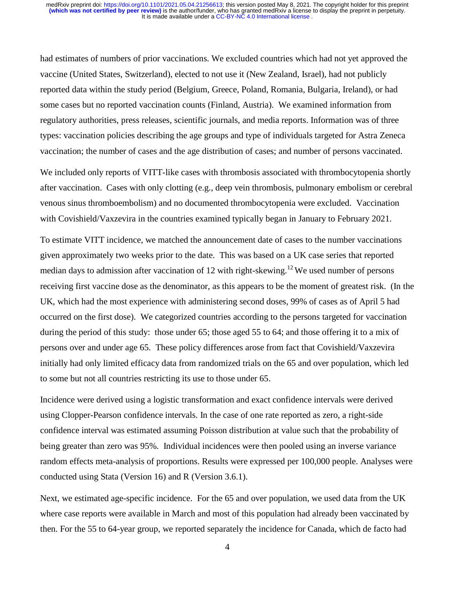had estimates of numbers of prior vaccinations. We excluded countries which had not yet approved the vaccine (United States, Switzerland), elected to not use it (New Zealand, Israel), had not publicly reported data within the study period (Belgium, Greece, Poland, Romania, Bulgaria, Ireland), or had some cases but no reported vaccination counts (Finland, Austria). We examined information from regulatory authorities, press releases, scientific journals, and media reports. Information was of three types: vaccination policies describing the age groups and type of individuals targeted for Astra Zeneca vaccination; the number of cases and the age distribution of cases; and number of persons vaccinated.

We included only reports of VITT-like cases with thrombosis associated with thrombocytopenia shortly after vaccination. Cases with only clotting (e.g., deep vein thrombosis, pulmonary embolism or cerebral venous sinus thromboembolism) and no documented thrombocytopenia were excluded. Vaccination with Covishield/Vaxzevira in the countries examined typically began in January to February 2021.

To estimate VITT incidence, we matched the announcement date of cases to the number vaccinations given approximately two weeks prior to the date. This was based on a UK case series that reported median days to admission after vaccination of 12 with right-skewing.<sup>12</sup> We used number of persons receiving first vaccine dose as the denominator, as this appears to be the moment of greatest risk. (In the UK, which had the most experience with administering second doses, 99% of cases as of April 5 had occurred on the first dose). We categorized countries according to the persons targeted for vaccination during the period of this study: those under 65; those aged 55 to 64; and those offering it to a mix of persons over and under age 65. These policy differences arose from fact that Covishield/Vaxzevira initially had only limited efficacy data from randomized trials on the 65 and over population, which led to some but not all countries restricting its use to those under 65.

Incidence were derived using a logistic transformation and exact confidence intervals were derived using Clopper-Pearson confidence intervals. In the case of one rate reported as zero, a right-side confidence interval was estimated assuming Poisson distribution at value such that the probability of being greater than zero was 95%. Individual incidences were then pooled using an inverse variance random effects meta-analysis of proportions. Results were expressed per 100,000 people. Analyses were conducted using Stata (Version 16) and R (Version 3.6.1).

Next, we estimated age-specific incidence. For the 65 and over population, we used data from the UK where case reports were available in March and most of this population had already been vaccinated by then. For the 55 to 64-year group, we reported separately the incidence for Canada, which de facto had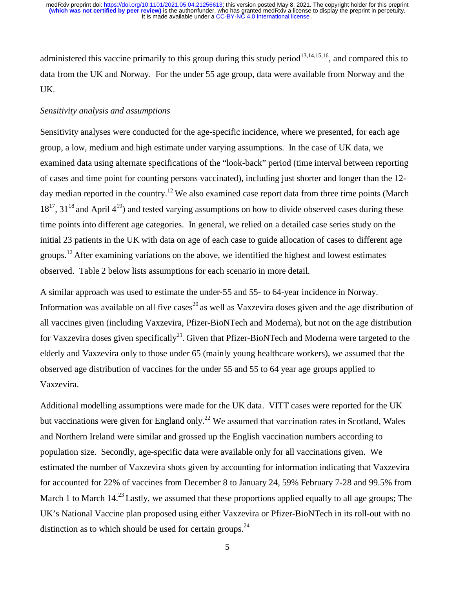administered this vaccine primarily to this group during this study period<sup>13,14,15,16</sup>, and compared this to data from the UK and Norway. For the under 55 age group, data were available from Norway and the UK.

## *Sensitivity analysis and assumptions*

Sensitivity analyses were conducted for the age-specific incidence, where we presented, for each age group, a low, medium and high estimate under varying assumptions. In the case of UK data, we examined data using alternate specifications of the "look-back" period (time interval between reporting of cases and time point for counting persons vaccinated), including just shorter and longer than the 12 day median reported in the country.<sup>12</sup> We also examined case report data from three time points (March  $18^{17}$ ,  $31^{18}$  and April  $4^{19}$ ) and tested varying assumptions on how to divide observed cases during these time points into different age categories. In general, we relied on a detailed case series study on the initial 23 patients in the UK with data on age of each case to guide allocation of cases to different age groups.<sup>12</sup> After examining variations on the above, we identified the highest and lowest estimates observed. Table 2 below lists assumptions for each scenario in more detail.

A similar approach was used to estimate the under-55 and 55- to 64-year incidence in Norway. Information was available on all five cases<sup>20</sup> as well as Vaxzevira doses given and the age distribution of all vaccines given (including Vaxzevira, Pfizer-BioNTech and Moderna), but not on the age distribution for Vaxzevira doses given specifically<sup>21</sup>. Given that Pfizer-BioNTech and Moderna were targeted to the elderly and Vaxzevira only to those under 65 (mainly young healthcare workers), we assumed that the observed age distribution of vaccines for the under 55 and 55 to 64 year age groups applied to Vaxzevira.

Additional modelling assumptions were made for the UK data. VITT cases were reported for the UK but vaccinations were given for England only.<sup>22</sup> We assumed that vaccination rates in Scotland, Wales and Northern Ireland were similar and grossed up the English vaccination numbers according to population size. Secondly, age-specific data were available only for all vaccinations given. We estimated the number of Vaxzevira shots given by accounting for information indicating that Vaxzevira for accounted for 22% of vaccines from December 8 to January 24, 59% February 7-28 and 99.5% from March 1 to March 14.<sup>23</sup> Lastly, we assumed that these proportions applied equally to all age groups; The UK's National Vaccine plan proposed using either Vaxzevira or Pfizer-BioNTech in its roll-out with no distinction as to which should be used for certain groups. $^{24}$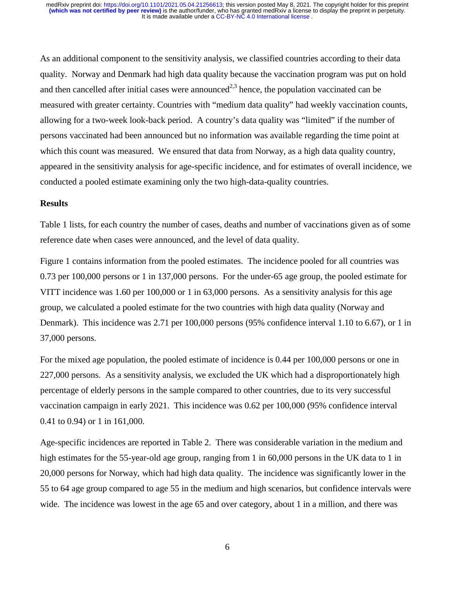As an additional component to the sensitivity analysis, we classified countries according to their data quality. Norway and Denmark had high data quality because the vaccination program was put on hold and then cancelled after initial cases were announced<sup>2,3</sup> hence, the population vaccinated can be measured with greater certainty. Countries with "medium data quality" had weekly vaccination counts, allowing for a two-week look-back period. A country's data quality was "limited" if the number of persons vaccinated had been announced but no information was available regarding the time point at which this count was measured. We ensured that data from Norway, as a high data quality country, appeared in the sensitivity analysis for age-specific incidence, and for estimates of overall incidence, we conducted a pooled estimate examining only the two high-data-quality countries.

#### **Results**

Table 1 lists, for each country the number of cases, deaths and number of vaccinations given as of some reference date when cases were announced, and the level of data quality.

Figure 1 contains information from the pooled estimates. The incidence pooled for all countries was 0.73 per 100,000 persons or 1 in 137,000 persons. For the under-65 age group, the pooled estimate for VITT incidence was 1.60 per 100,000 or 1 in 63,000 persons. As a sensitivity analysis for this age group, we calculated a pooled estimate for the two countries with high data quality (Norway and Denmark). This incidence was 2.71 per 100,000 persons (95% confidence interval 1.10 to 6.67), or 1 in 37,000 persons.

For the mixed age population, the pooled estimate of incidence is 0.44 per 100,000 persons or one in 227,000 persons. As a sensitivity analysis, we excluded the UK which had a disproportionately high percentage of elderly persons in the sample compared to other countries, due to its very successful vaccination campaign in early 2021. This incidence was 0.62 per 100,000 (95% confidence interval 0.41 to 0.94) or 1 in 161,000.

Age-specific incidences are reported in Table 2. There was considerable variation in the medium and high estimates for the 55-year-old age group, ranging from 1 in 60,000 persons in the UK data to 1 in 20,000 persons for Norway, which had high data quality. The incidence was significantly lower in the 55 to 64 age group compared to age 55 in the medium and high scenarios, but confidence intervals were wide. The incidence was lowest in the age 65 and over category, about 1 in a million, and there was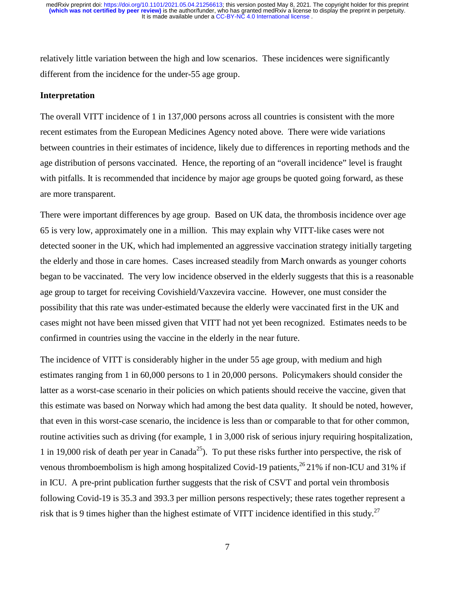relatively little variation between the high and low scenarios. These incidences were significantly different from the incidence for the under-55 age group.

#### **Interpretation**

The overall VITT incidence of 1 in 137,000 persons across all countries is consistent with the more recent estimates from the European Medicines Agency noted above. There were wide variations between countries in their estimates of incidence, likely due to differences in reporting methods and the age distribution of persons vaccinated. Hence, the reporting of an "overall incidence" level is fraught with pitfalls. It is recommended that incidence by major age groups be quoted going forward, as these are more transparent.

There were important differences by age group. Based on UK data, the thrombosis incidence over age 65 is very low, approximately one in a million. This may explain why VITT-like cases were not detected sooner in the UK, which had implemented an aggressive vaccination strategy initially targeting the elderly and those in care homes. Cases increased steadily from March onwards as younger cohorts began to be vaccinated. The very low incidence observed in the elderly suggests that this is a reasonable age group to target for receiving Covishield/Vaxzevira vaccine. However, one must consider the possibility that this rate was under-estimated because the elderly were vaccinated first in the UK and cases might not have been missed given that VITT had not yet been recognized. Estimates needs to be confirmed in countries using the vaccine in the elderly in the near future.

The incidence of VITT is considerably higher in the under 55 age group, with medium and high estimates ranging from 1 in 60,000 persons to 1 in 20,000 persons. Policymakers should consider the latter as a worst-case scenario in their policies on which patients should receive the vaccine, given that this estimate was based on Norway which had among the best data quality. It should be noted, however, that even in this worst-case scenario, the incidence is less than or comparable to that for other common, routine activities such as driving (for example, 1 in 3,000 risk of serious injury requiring hospitalization, 1 in 19,000 risk of death per year in Canada<sup>25</sup>). To put these risks further into perspective, the risk of venous thromboembolism is high among hospitalized Covid-19 patients,  $^{26}$  21% if non-ICU and 31% if in ICU. A pre-print publication further suggests that the risk of CSVT and portal vein thrombosis following Covid-19 is 35.3 and 393.3 per million persons respectively; these rates together represent a risk that is 9 times higher than the highest estimate of VITT incidence identified in this study.<sup>27</sup>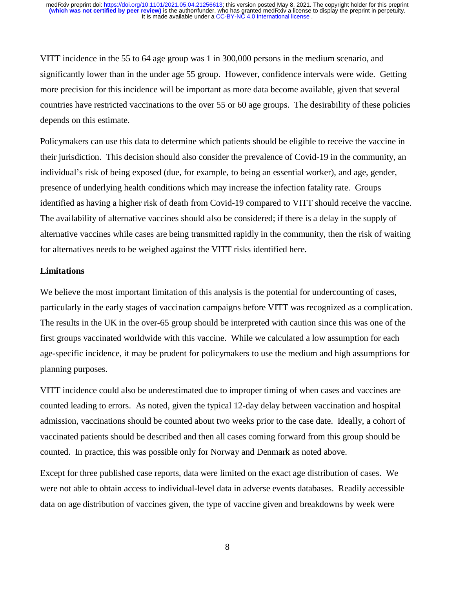VITT incidence in the 55 to 64 age group was 1 in 300,000 persons in the medium scenario, and significantly lower than in the under age 55 group. However, confidence intervals were wide. Getting more precision for this incidence will be important as more data become available, given that several countries have restricted vaccinations to the over 55 or 60 age groups. The desirability of these policies depends on this estimate.

Policymakers can use this data to determine which patients should be eligible to receive the vaccine in their jurisdiction. This decision should also consider the prevalence of Covid-19 in the community, an individual's risk of being exposed (due, for example, to being an essential worker), and age, gender, presence of underlying health conditions which may increase the infection fatality rate. Groups identified as having a higher risk of death from Covid-19 compared to VITT should receive the vaccine. The availability of alternative vaccines should also be considered; if there is a delay in the supply of alternative vaccines while cases are being transmitted rapidly in the community, then the risk of waiting for alternatives needs to be weighed against the VITT risks identified here.

#### **Limitations**

We believe the most important limitation of this analysis is the potential for undercounting of cases, particularly in the early stages of vaccination campaigns before VITT was recognized as a complication. The results in the UK in the over-65 group should be interpreted with caution since this was one of the first groups vaccinated worldwide with this vaccine. While we calculated a low assumption for each age-specific incidence, it may be prudent for policymakers to use the medium and high assumptions for planning purposes.

VITT incidence could also be underestimated due to improper timing of when cases and vaccines are counted leading to errors. As noted, given the typical 12-day delay between vaccination and hospital admission, vaccinations should be counted about two weeks prior to the case date. Ideally, a cohort of vaccinated patients should be described and then all cases coming forward from this group should be counted. In practice, this was possible only for Norway and Denmark as noted above.

Except for three published case reports, data were limited on the exact age distribution of cases. We were not able to obtain access to individual-level data in adverse events databases. Readily accessible data on age distribution of vaccines given, the type of vaccine given and breakdowns by week were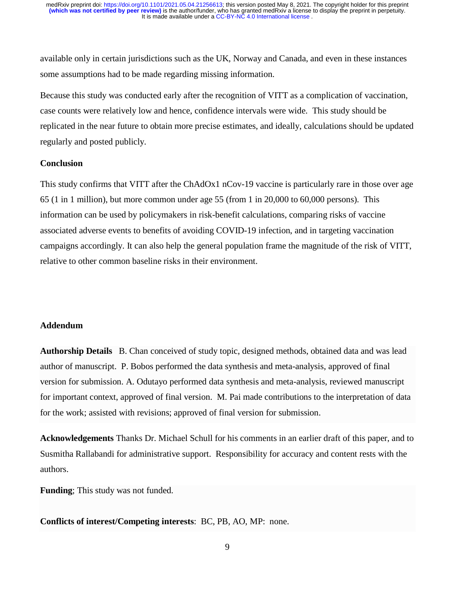available only in certain jurisdictions such as the UK, Norway and Canada, and even in these instances some assumptions had to be made regarding missing information.

Because this study was conducted early after the recognition of VITT as a complication of vaccination, case counts were relatively low and hence, confidence intervals were wide. This study should be replicated in the near future to obtain more precise estimates, and ideally, calculations should be updated regularly and posted publicly.

## **Conclusion**

This study confirms that VITT after the ChAdOx1 nCov-19 vaccine is particularly rare in those over age 65 (1 in 1 million), but more common under age 55 (from 1 in 20,000 to 60,000 persons). This information can be used by policymakers in risk-benefit calculations, comparing risks of vaccine associated adverse events to benefits of avoiding COVID-19 infection, and in targeting vaccination campaigns accordingly. It can also help the general population frame the magnitude of the risk of VITT, relative to other common baseline risks in their environment.

## **Addendum**

**Authorship Details** B. Chan conceived of study topic, designed methods, obtained data and was lead author of manuscript. P. Bobos performed the data synthesis and meta-analysis, approved of final version for submission. A. Odutayo performed data synthesis and meta-analysis, reviewed manuscript for important context, approved of final version. M. Pai made contributions to the interpretation of data for the work; assisted with revisions; approved of final version for submission.

**Acknowledgements** Thanks Dr. Michael Schull for his comments in an earlier draft of this paper, and to Susmitha Rallabandi for administrative support. Responsibility for accuracy and content rests with the authors.

**Funding**; This study was not funded.

**Conflicts of interest/Competing interests**: BC, PB, AO, MP: none.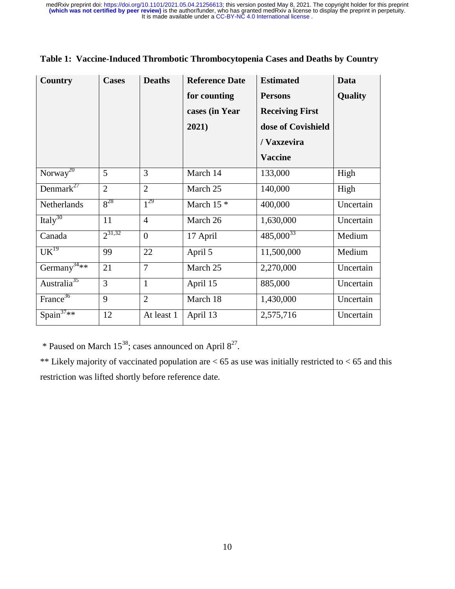| <b>Country</b>              | <b>Cases</b>   | <b>Deaths</b>  | <b>Reference Date</b> | <b>Estimated</b>       | Data           |
|-----------------------------|----------------|----------------|-----------------------|------------------------|----------------|
|                             |                |                | for counting          | <b>Persons</b>         | <b>Quality</b> |
|                             |                |                | cases (in Year        | <b>Receiving First</b> |                |
|                             |                |                | 2021)                 | dose of Covishield     |                |
|                             |                |                |                       | / Vaxzevira            |                |
|                             |                |                |                       | <b>Vaccine</b>         |                |
| Norway <sup>20</sup>        | 5              | 3              | March 14              | 133,000                | High           |
| Denmark $27$                | $\overline{2}$ | $\overline{2}$ | March 25              | 140,000                | High           |
| Netherlands                 | $8^{28}$       | $1^{29}$       | March $15$ *          | 400,000                | Uncertain      |
| Italy <sup>30</sup>         | 11             | $\overline{4}$ | March 26              | 1,630,000              | Uncertain      |
| Canada                      | $2^{31,32}$    | $\theta$       | 17 April              | $485,000^{33}$         | Medium         |
| $\overline{\text{UK}}^{19}$ | 99             | 22             | April 5               | 11,500,000             | Medium         |
| Germany <sup>34**</sup>     | 21             | $\overline{7}$ | March 25              | 2,270,000              | Uncertain      |
| Australia <sup>35</sup>     | 3              | $\mathbf{1}$   | April 15              | 885,000                | Uncertain      |
| France <sup>36</sup>        | 9              | $\overline{2}$ | March 18              | 1,430,000              | Uncertain      |
| Spain $37**$                | 12             | At least 1     | April 13              | 2,575,716              | Uncertain      |

\* Paused on March  $15^{38}$ ; cases announced on April  $8^{27}$ .

\*\* Likely majority of vaccinated population are  $< 65$  as use was initially restricted to  $< 65$  and this restriction was lifted shortly before reference date.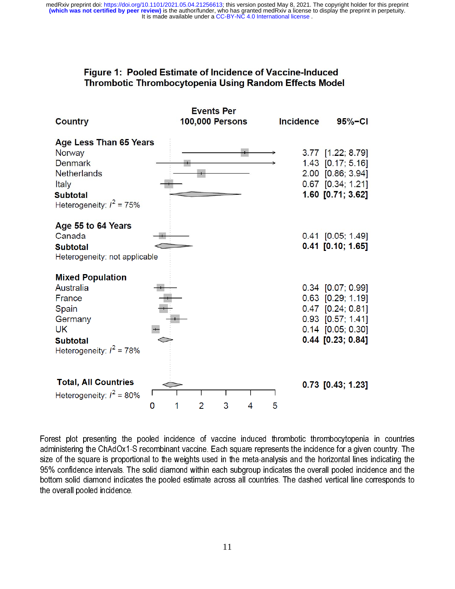# Figure 1: Pooled Estimate of Incidence of Vaccine-Induced **Thrombotic Thrombocytopenia Using Random Effects Model**

|                                                                                                                                   |        | <b>Events Per</b>      |                  |                                                                                                                                      |
|-----------------------------------------------------------------------------------------------------------------------------------|--------|------------------------|------------------|--------------------------------------------------------------------------------------------------------------------------------------|
| <b>Country</b>                                                                                                                    |        | <b>100,000 Persons</b> | <b>Incidence</b> | $95% - C1$                                                                                                                           |
| Age Less Than 65 Years<br>Norway<br><b>Denmark</b><br>Netherlands<br>Italy<br><b>Subtotal</b><br>Heterogeneity: $I^2 = 75\%$      |        |                        |                  | 3.77 [1.22; 8.79]<br>1.43 [0.17; 5.16]<br>2.00 [0.86; 3.94]<br>$0.67$ [0.34; 1.21]<br>1.60 [0.71; 3.62]                              |
| Age 55 to 64 Years<br>Canada<br><b>Subtotal</b><br>Heterogeneity: not applicable                                                  |        |                        |                  | $0.41$ $[0.05; 1.49]$<br>$0.41$ [0.10; 1.65]                                                                                         |
| <b>Mixed Population</b><br>Australia<br>France<br>Spain<br>Germany<br><b>UK</b><br><b>Subtotal</b><br>Heterogeneity: $I^2 = 78\%$ |        |                        |                  | 0.34 [0.07; 0.99]<br>$0.63$ $[0.29; 1.19]$<br>$0.47$ [0.24; 0.81]<br>0.93 [0.57; 1.41]<br>$0.14$ [0.05; 0.30]<br>$0.44$ [0.23; 0.84] |
| <b>Total, All Countries</b><br>Heterogeneity: $I^2 = 80\%$                                                                        | 1<br>0 | 3<br>2                 | 4<br>5           | $0.73$ [0.43; 1.23]                                                                                                                  |

Forest plot presenting the pooled incidence of vaccine induced thrombotic thrombocytopenia in countries administering the ChAdOx1-S recombinant vaccine. Each square represents the incidence for a given country. The size of the square is proportional to the weights used in the meta-analysis and the horizontal lines indicating the 95% confidence intervals. The solid diamond within each subgroup indicates the overall pooled incidence and the bottom solid diamond indicates the pooled estimate across all countries. The dashed vertical line corresponds to the overall pooled incidence.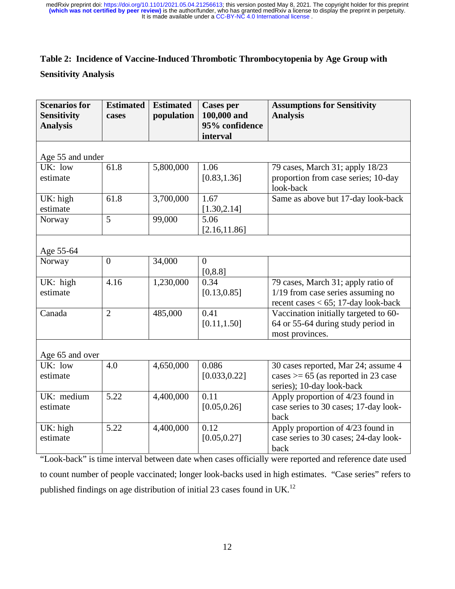# **Table 2: Incidence of Vaccine-Induced Thrombotic Thrombocytopenia by Age Group with**

**Sensitivity Analysis** 

| <b>Scenarios for</b><br><b>Sensitivity</b><br><b>Analysis</b> | <b>Estimated</b><br>cases | <b>Estimated</b><br>population | <b>Cases per</b><br>100,000 and<br>95% confidence<br>interval | <b>Assumptions for Sensitivity</b><br><b>Analysis</b>                                                            |  |  |  |  |
|---------------------------------------------------------------|---------------------------|--------------------------------|---------------------------------------------------------------|------------------------------------------------------------------------------------------------------------------|--|--|--|--|
| Age 55 and under                                              |                           |                                |                                                               |                                                                                                                  |  |  |  |  |
| UK: low<br>estimate                                           | 61.8                      | 5,800,000                      | 1.06<br>[0.83, 1.36]                                          | 79 cases, March 31; apply 18/23<br>proportion from case series; 10-day<br>look-back                              |  |  |  |  |
| UK: high<br>estimate                                          | 61.8                      | 3,700,000                      | 1.67<br>[1.30, 2.14]                                          | Same as above but 17-day look-back                                                                               |  |  |  |  |
| Norway                                                        | 5                         | 99,000                         | 5.06<br>[2.16, 11.86]                                         |                                                                                                                  |  |  |  |  |
| Age 55-64                                                     |                           |                                |                                                               |                                                                                                                  |  |  |  |  |
| Norway                                                        | $\overline{0}$            | 34,000                         | $\overline{0}$<br>[0, 8.8]                                    |                                                                                                                  |  |  |  |  |
| UK: high<br>estimate                                          | 4.16                      | 1,230,000                      | 0.34<br>[0.13, 0.85]                                          | 79 cases, March 31; apply ratio of<br>1/19 from case series assuming no<br>recent cases $<$ 65; 17-day look-back |  |  |  |  |
| Canada                                                        | $\overline{2}$            | 485,000                        | 0.41<br>[0.11, 1.50]                                          | Vaccination initially targeted to 60-<br>64 or 55-64 during study period in<br>most provinces.                   |  |  |  |  |
| Age 65 and over                                               |                           |                                |                                                               |                                                                                                                  |  |  |  |  |
| UK: low<br>estimate                                           | 4.0                       | 4,650,000                      | 0.086<br>[0.033, 0.22]                                        | 30 cases reported, Mar 24; assume 4<br>cases $> = 65$ (as reported in 23 case<br>series); 10-day look-back       |  |  |  |  |
| UK: medium<br>estimate                                        | 5.22                      | 4,400,000                      | 0.11<br>[0.05, 0.26]                                          | Apply proportion of 4/23 found in<br>case series to 30 cases; 17-day look-<br>back                               |  |  |  |  |
| UK: high<br>estimate                                          | 5.22                      | 4,400,000                      | 0.12<br>[0.05, 0.27]                                          | Apply proportion of 4/23 found in<br>case series to 30 cases; 24-day look-<br>back                               |  |  |  |  |

"Look-back" is time interval between date when cases officially were reported and reference date used to count number of people vaccinated; longer look-backs used in high estimates. "Case series" refers to published findings on age distribution of initial 23 cases found in UK.<sup>12</sup>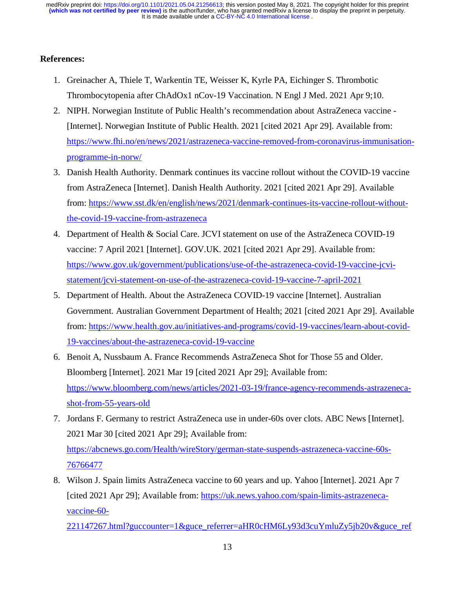It is made available under a CC-BY-NC 4.0 International license. **(which was not certified by peer review)** is the author/funder, who has granted medRxiv a license to display the preprint in perpetuity. medRxiv preprint doi: [https://doi.org/10.1101/2021.05.04.21256613;](https://doi.org/10.1101/2021.05.04.21256613) this version posted May 8, 2021. The copyright holder for this preprint

# **References:**

- 1. Greinacher A, Thiele T, Warkentin TE, Weisser K, Kyrle PA, Eichinger S. Thrombotic Thrombocytopenia after ChAdOx1 nCov-19 Vaccination. N Engl J Med. 2021 Apr 9;10.
- 2. NIPH. Norwegian Institute of Public Health's recommendation about AstraZeneca vaccine [Internet]. Norwegian Institute of Public Health. 2021 [cited 2021 Apr 29]. Available from: https://www.fhi.no/en/news/2021/astrazeneca-vaccine-removed-from-coronavirus-immunisationprogramme-in-norw/
- 3. Danish Health Authority. Denmark continues its vaccine rollout without the COVID-19 vaccine from AstraZeneca [Internet]. Danish Health Authority. 2021 [cited 2021 Apr 29]. Available from: https://www.sst.dk/en/english/news/2021/denmark-continues-its-vaccine-rollout-withoutthe-covid-19-vaccine-from-astrazeneca
- 4. Department of Health & Social Care. JCVI statement on use of the AstraZeneca COVID-19 vaccine: 7 April 2021 [Internet]. GOV.UK. 2021 [cited 2021 Apr 29]. Available from: https://www.gov.uk/government/publications/use-of-the-astrazeneca-covid-19-vaccine-jcvistatement/jcvi-statement-on-use-of-the-astrazeneca-covid-19-vaccine-7-april-2021
- 5. Department of Health. About the AstraZeneca COVID-19 vaccine [Internet]. Australian Government. Australian Government Department of Health; 2021 [cited 2021 Apr 29]. Available from: https://www.health.gov.au/initiatives-and-programs/covid-19-vaccines/learn-about-covid-19-vaccines/about-the-astrazeneca-covid-19-vaccine
- 6. Benoit A, Nussbaum A. France Recommends AstraZeneca Shot for Those 55 and Older. Bloomberg [Internet]. 2021 Mar 19 [cited 2021 Apr 29]; Available from: https://www.bloomberg.com/news/articles/2021-03-19/france-agency-recommends-astrazenecashot-from-55-years-old
- 7. Jordans F. Germany to restrict AstraZeneca use in under-60s over clots. ABC News [Internet]. 2021 Mar 30 [cited 2021 Apr 29]; Available from: https://abcnews.go.com/Health/wireStory/german-state-suspends-astrazeneca-vaccine-60s-76766477
- 8. Wilson J. Spain limits AstraZeneca vaccine to 60 years and up. Yahoo [Internet]. 2021 Apr 7 [cited 2021 Apr 29]; Available from: https://uk.news.yahoo.com/spain-limits-astrazenecavaccine-60-

221147267.html?guccounter=1&guce\_referrer=aHR0cHM6Ly93d3cuYmluZy5jb20v&guce\_ref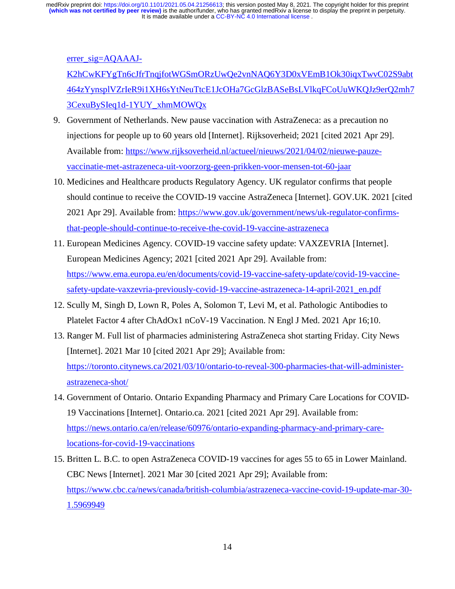errer\_sig=AOAAAJ-

K2hCwKFYgTn6cJfrTnqjfotWGSmORzUwQe2vnNAQ6Y3D0xVEmB1Ok30iqxTwvC02S9abt 464zYynsplVZrIeR9i1XH6sYtNeuTtcE1JcOHa7GcGlzBASeBsLVlkqFCoUuWKQJz9erQ2mh7 3CexuBySIeq1d-1YUY\_xhmMOWQx

- 9. Government of Netherlands. New pause vaccination with AstraZeneca: as a precaution no injections for people up to 60 years old [Internet]. Rijksoverheid; 2021 [cited 2021 Apr 29]. Available from: https://www.rijksoverheid.nl/actueel/nieuws/2021/04/02/nieuwe-pauzevaccinatie-met-astrazeneca-uit-voorzorg-geen-prikken-voor-mensen-tot-60-jaar
- 10. Medicines and Healthcare products Regulatory Agency. UK regulator confirms that people should continue to receive the COVID-19 vaccine AstraZeneca [Internet]. GOV.UK. 2021 [cited 2021 Apr 29]. Available from: https://www.gov.uk/government/news/uk-regulator-confirmsthat-people-should-continue-to-receive-the-covid-19-vaccine-astrazeneca
- 11. European Medicines Agency. COVID-19 vaccine safety update: VAXZEVRIA [Internet]. European Medicines Agency; 2021 [cited 2021 Apr 29]. Available from: https://www.ema.europa.eu/en/documents/covid-19-vaccine-safety-update/covid-19-vaccinesafety-update-vaxzevria-previously-covid-19-vaccine-astrazeneca-14-april-2021\_en.pdf
- 12. Scully M, Singh D, Lown R, Poles A, Solomon T, Levi M, et al. Pathologic Antibodies to Platelet Factor 4 after ChAdOx1 nCoV-19 Vaccination. N Engl J Med. 2021 Apr 16;10.
- 13. Ranger M. Full list of pharmacies administering AstraZeneca shot starting Friday. City News [Internet]. 2021 Mar 10 [cited 2021 Apr 29]; Available from: https://toronto.citynews.ca/2021/03/10/ontario-to-reveal-300-pharmacies-that-will-administerastrazeneca-shot/
- 14. Government of Ontario. Ontario Expanding Pharmacy and Primary Care Locations for COVID-19 Vaccinations [Internet]. Ontario.ca. 2021 [cited 2021 Apr 29]. Available from: https://news.ontario.ca/en/release/60976/ontario-expanding-pharmacy-and-primary-carelocations-for-covid-19-vaccinations
- 15. Britten L. B.C. to open AstraZeneca COVID-19 vaccines for ages 55 to 65 in Lower Mainland. CBC News [Internet]. 2021 Mar 30 [cited 2021 Apr 29]; Available from: https://www.cbc.ca/news/canada/british-columbia/astrazeneca-vaccine-covid-19-update-mar-30- 1.5969949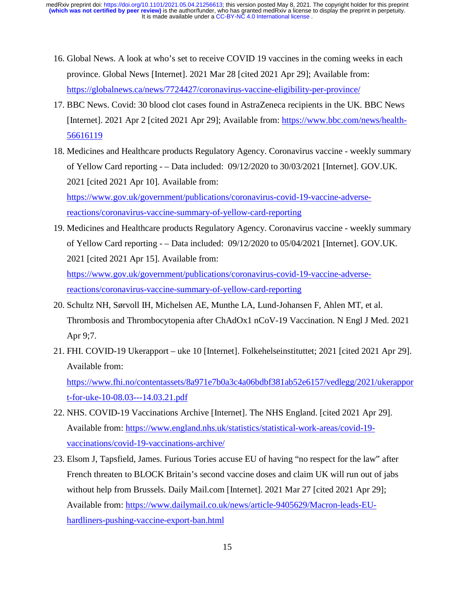It is made available under a CC-BY-NC 4.0 International license. **(which was not certified by peer review)** is the author/funder, who has granted medRxiv a license to display the preprint in perpetuity. medRxiv preprint doi: [https://doi.org/10.1101/2021.05.04.21256613;](https://doi.org/10.1101/2021.05.04.21256613) this version posted May 8, 2021. The copyright holder for this preprint

- 16. Global News. A look at who's set to receive COVID 19 vaccines in the coming weeks in each province. Global News [Internet]. 2021 Mar 28 [cited 2021 Apr 29]; Available from: https://globalnews.ca/news/7724427/coronavirus-vaccine-eligibility-per-province/
- 17. BBC News. Covid: 30 blood clot cases found in AstraZeneca recipients in the UK. BBC News [Internet]. 2021 Apr 2 [cited 2021 Apr 29]; Available from: https://www.bbc.com/news/health-56616119
- 18. Medicines and Healthcare products Regulatory Agency. Coronavirus vaccine weekly summary of Yellow Card reporting - – Data included: 09/12/2020 to 30/03/2021 [Internet]. GOV.UK. 2021 [cited 2021 Apr 10]. Available from:

https://www.gov.uk/government/publications/coronavirus-covid-19-vaccine-adversereactions/coronavirus-vaccine-summary-of-yellow-card-reporting

19. Medicines and Healthcare products Regulatory Agency. Coronavirus vaccine - weekly summary of Yellow Card reporting - – Data included: 09/12/2020 to 05/04/2021 [Internet]. GOV.UK. 2021 [cited 2021 Apr 15]. Available from:

https://www.gov.uk/government/publications/coronavirus-covid-19-vaccine-adversereactions/coronavirus-vaccine-summary-of-yellow-card-reporting

- 20. Schultz NH, Sørvoll IH, Michelsen AE, Munthe LA, Lund-Johansen F, Ahlen MT, et al. Thrombosis and Thrombocytopenia after ChAdOx1 nCoV-19 Vaccination. N Engl J Med. 2021 Apr 9;7.
- 21. FHI. COVID-19 Ukerapport uke 10 [Internet]. Folkehelseinstituttet; 2021 [cited 2021 Apr 29]. Available from:

https://www.fhi.no/contentassets/8a971e7b0a3c4a06bdbf381ab52e6157/vedlegg/2021/ukerappor t-for-uke-10-08.03---14.03.21.pdf

- 22. NHS. COVID-19 Vaccinations Archive [Internet]. The NHS England. [cited 2021 Apr 29]. Available from: https://www.england.nhs.uk/statistics/statistical-work-areas/covid-19 vaccinations/covid-19-vaccinations-archive/
- 23. Elsom J, Tapsfield, James. Furious Tories accuse EU of having "no respect for the law" after French threaten to BLOCK Britain's second vaccine doses and claim UK will run out of jabs without help from Brussels. Daily Mail.com [Internet]. 2021 Mar 27 [cited 2021 Apr 29]; Available from: https://www.dailymail.co.uk/news/article-9405629/Macron-leads-EUhardliners-pushing-vaccine-export-ban.html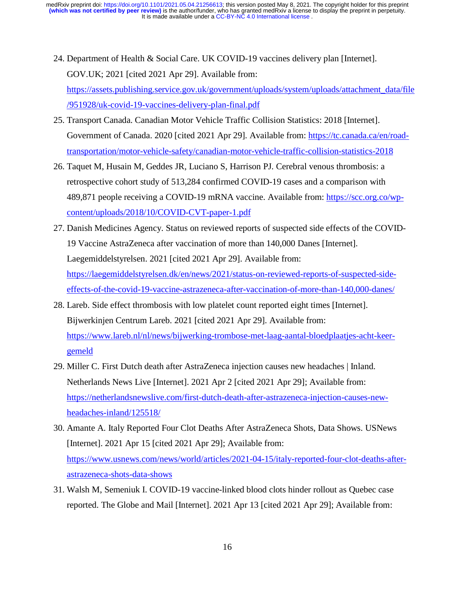- 24. Department of Health & Social Care. UK COVID-19 vaccines delivery plan [Internet]. GOV.UK; 2021 [cited 2021 Apr 29]. Available from: https://assets.publishing.service.gov.uk/government/uploads/system/uploads/attachment\_data/file /951928/uk-covid-19-vaccines-delivery-plan-final.pdf
- 25. Transport Canada. Canadian Motor Vehicle Traffic Collision Statistics: 2018 [Internet]. Government of Canada. 2020 [cited 2021 Apr 29]. Available from: https://tc.canada.ca/en/roadtransportation/motor-vehicle-safety/canadian-motor-vehicle-traffic-collision-statistics-2018
- 26. Taquet M, Husain M, Geddes JR, Luciano S, Harrison PJ. Cerebral venous thrombosis: a retrospective cohort study of 513,284 confirmed COVID-19 cases and a comparison with 489,871 people receiving a COVID-19 mRNA vaccine. Available from: https://scc.org.co/wpcontent/uploads/2018/10/COVID-CVT-paper-1.pdf
- 27. Danish Medicines Agency. Status on reviewed reports of suspected side effects of the COVID-19 Vaccine AstraZeneca after vaccination of more than 140,000 Danes [Internet]. Laegemiddelstyrelsen. 2021 [cited 2021 Apr 29]. Available from: https://laegemiddelstyrelsen.dk/en/news/2021/status-on-reviewed-reports-of-suspected-sideeffects-of-the-covid-19-vaccine-astrazeneca-after-vaccination-of-more-than-140,000-danes/
- 28. Lareb. Side effect thrombosis with low platelet count reported eight times [Internet]. Bijwerkinjen Centrum Lareb. 2021 [cited 2021 Apr 29]. Available from: https://www.lareb.nl/nl/news/bijwerking-trombose-met-laag-aantal-bloedplaatjes-acht-keergemeld
- 29. Miller C. First Dutch death after AstraZeneca injection causes new headaches | Inland. Netherlands News Live [Internet]. 2021 Apr 2 [cited 2021 Apr 29]; Available from: https://netherlandsnewslive.com/first-dutch-death-after-astrazeneca-injection-causes-newheadaches-inland/125518/
- 30. Amante A. Italy Reported Four Clot Deaths After AstraZeneca Shots, Data Shows. USNews [Internet]. 2021 Apr 15 [cited 2021 Apr 29]; Available from: https://www.usnews.com/news/world/articles/2021-04-15/italy-reported-four-clot-deaths-afterastrazeneca-shots-data-shows
- 31. Walsh M, Semeniuk I. COVID-19 vaccine-linked blood clots hinder rollout as Quebec case reported. The Globe and Mail [Internet]. 2021 Apr 13 [cited 2021 Apr 29]; Available from: